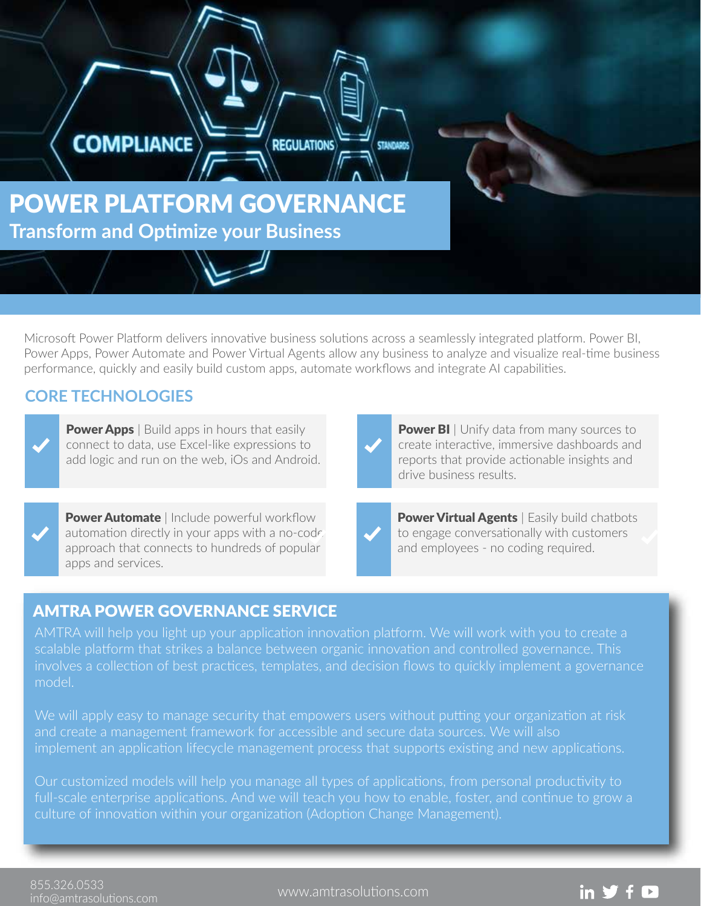

Microsoft Power Platform delivers innovative business solutions across a seamlessly integrated platform. Power BI, Power Apps, Power Automate and Power Virtual Agents allow any business to analyze and visualize real-time business performance, quickly and easily build custom apps, automate workflows and integrate AI capabilities.

### **CORE TECHNOLOGIES**

| $\blacklozenge$ |  |
|-----------------|--|
|                 |  |

**Power Apps** | Build apps in hours that easily connect to data, use Excel-like expressions to add logic and run on the web, iOs and Android.



**Power Automate | Include powerful workflow** automation directly in your apps with a no-code approach that connects to hundreds of popular apps and services.



**Power BI** | Unify data from many sources to create interactive, immersive dashboards and reports that provide actionable insights and drive business results.

| ľ |
|---|
| t |
| ĩ |

**Power Virtual Agents** | Easily build chatbots to engage conversationally with customers and employees - no coding required.

in  $y f$ 

# 4 AMTRA POWER GOVERNANCE SERVICE

scalable platform that strikes a balance between organic innovation and controlled governance. This involves a collection of best practices, templates, and decision flows to quickly implement a governance model.

and create a management framework for accessible and secure data sources. We will also

Our customized models will help you manage all types of applications, from personal productivity to culture of innovation within your organization (Adoption Change Management).